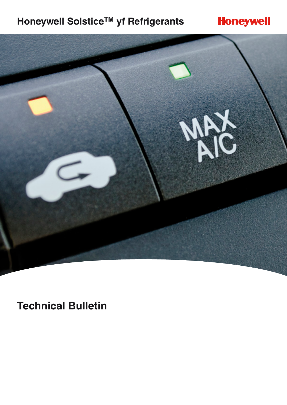# **Honeywell Solstice™ yf Refrigerants**

# **Honeywell**



**Technical Bulletin**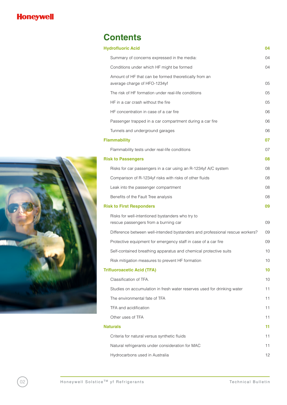

# **Contents**

|                                 | <b>Hydrofluoric Acid</b><br>04                                                           |    |
|---------------------------------|------------------------------------------------------------------------------------------|----|
|                                 | Summary of concerns expressed in the media:                                              | 04 |
|                                 | Conditions under which HF might be formed                                                | 04 |
|                                 | Amount of HF that can be formed theoretically from an<br>average charge of HFO-1234yf    | 05 |
|                                 | The risk of HF formation under real-life conditions                                      | 05 |
|                                 | HF in a car crash without the fire                                                       | 05 |
|                                 | HF concentration in case of a car fire                                                   | 06 |
|                                 | Passenger trapped in a car compartment during a car fire                                 | 06 |
|                                 | Tunnels and underground garages                                                          | 06 |
|                                 | <b>Flammability</b>                                                                      | 07 |
|                                 | Flammability tests under real-life conditions                                            | 07 |
|                                 | <b>Risk to Passengers</b>                                                                | 08 |
|                                 | Risks for car passengers in a car using an R-1234yf A/C system                           | 08 |
|                                 | Comparison of R-1234yf risks with risks of other fluids                                  | 08 |
|                                 | Leak into the passenger compartment                                                      | 08 |
|                                 | Benefits of the Fault Tree analysis                                                      | 08 |
| <b>Risk to First Responders</b> |                                                                                          | 09 |
|                                 | Risks for well-intentioned bystanders who try to<br>rescue passengers from a burning car | 09 |
|                                 | Difference between well-intended bystanders and professional rescue workers?             | 09 |
|                                 | Protective equipment for emergency staff in case of a car fire                           | 09 |
|                                 | Self-contained breathing apparatus and chemical protective suits                         | 10 |
|                                 | Risk mitigation measures to prevent HF formation                                         | 10 |
|                                 | <b>Trifluoroacetic Acid (TFA)</b>                                                        |    |
|                                 | Classification of TFA.                                                                   | 10 |
|                                 | Studies on accumulation in fresh water reserves used for drinking water                  | 11 |
|                                 | The environmental fate of TFA                                                            | 11 |
|                                 | TFA and acidification                                                                    | 11 |
|                                 | Other uses of TFA                                                                        | 11 |
| <b>Naturals</b>                 |                                                                                          | 11 |
|                                 | Criteria for natural versus synthetic fluids                                             | 11 |
|                                 | Natural refrigerants under consideration for MAC                                         | 11 |
|                                 | Hydrocarbons used in Australia                                                           | 12 |

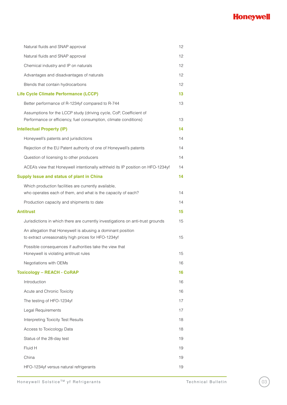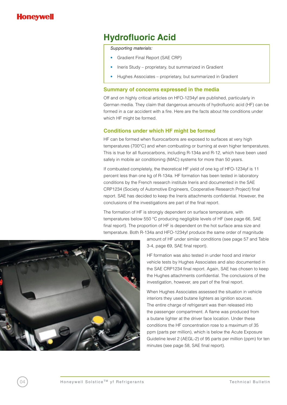

# **Hydrofluoric Acid**

*Supporting materials:*

- Gradient Final Report (SAE CRP)
- Ineris Study proprietary, but summarized in Gradient
- Hughes Associates proprietary, but summarized in Gradient

#### **Summary of concerns expressed in the media**

Off and on highly critical articles on HFO-1234yf are published, particularly in German media. They claim that dangerous amounts of hydrofluoric acid (HF) can be formed in a car accident with a fire. Here are the facts about hte conditions under which HF might be formed.

#### **Conditions under which HF might be formed**

HF can be formed when fluorocarbons are exposed to surfaces at very high temperatures (700°C) and when combusting or burning at even higher temperatures. This is true for all fluorocarbons, including R-134a and R-12, which have been used safely in mobile air conditioning (MAC) systems for more than 50 years.

If combusted completely, the theoretical HF yield of one kg of HFO-1234yf is 11 percent less than one kg of R-134a. HF formation has been tested in laboratory conditions by the French research institute Ineris and documented in the SAE CRP1234 (Society of Automotive Engineers, Cooperative Research Project) final report. SAE has decided to keep the Ineris attachments confidential. However, the conclusions of the investigations are part of the final report.

The formation of HF is strongly dependent on surface temperature, with temperatures below 550 °C producing negligible levels of HF (see page 66, SAE final report). The proportion of HF is dependent on the hot surface area size and temperature. Both R-134a and HFO-1234yf produce the same order of magnitude



amount of HF under similar conditions (see page 57 and Table 3-4, page 69, SAE final report).

HF formation was also tested in under hood and interior vehicle tests by Hughes Associates and also documented in the SAE CRP1234 final report. Again, SAE has chosen to keep the Hughes attachments confidential. The conclusions of the investigation, however, are part of the final report.

When Hughes Associates assessed the situation in vehicle interiors they used butane lighters as ignition sources. The entire charge of refrigerant was then released into the passenger compartment. A flame was produced from a butane lighter at the driver face location. Under these conditions the HF concentration rose to a maximum of 35 ppm (parts per million), which is below the Acute Exposure Guideline level 2 (AEGL-2) of 95 parts per million (ppm) for ten minutes (see page 58, SAE final report).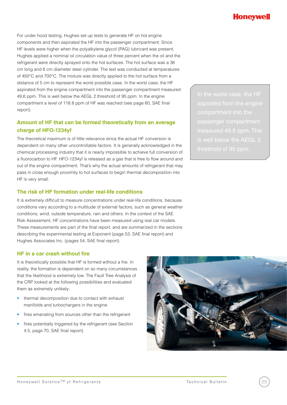For under hood testing, Hughes set up tests to generate HF on hot engine components and then aspirated the HF into the passenger compartment. Since HF levels were higher when the polyalkylene glycol (PAG) lubricant was present, Hughes applied a nominal oil circulation value of three percent when the oil and the refrigerant were directly sprayed onto the hot surfaces. The hot surface was a 36 cm long and 6 cm diameter steel cylinder. The test was conducted at temperatures of 450°C and 700°C. The mixture was directly applied to the hot surface from a distance of 5 cm to represent the worst possible case. In the worst case, the HF aspirated from the engine compartment into the passenger compartment measured 49.6 ppm. This is well below the AEGL 2 threshold of 95 ppm. In the engine compartment a level of 118.8 ppm of HF was reached (see page 60, SAE final report).

### **Amount of HF that can be formed theoretically from an average charge of HFO-1234yf**

The theoretical maximum is of little relevance since the actual HF conversion is dependent on many other uncontrollable factors. It is generally acknowledged in the chemical processing industry that it is nearly impossible to achieve full conversion of a fluorocarbon to HF. HFO-1234yf is released as a gas that is free to flow around and out of the engine compartment. That's why the actual amounts of refrigerant that may pass in close enough proximity to hot surfaces to begin thermal decomposition into HF is very small.

#### **The risk of HF formation under real-life conditions**

It is extremely difficult to measure concentrations under real-life conditions, because conditions vary according to a multitude of external factors, such as general weather conditions, wind, outside temperature, rain and others. In the context of the SAE Risk Assessment, HF concentrations have been measured using real car models. These measurements are part of the final report, and are summarized in the sections describing the experimental testing at Exponent (page 53, SAE final report) and Hughes Associates Inc. (pages 54, SAE final report).

#### **HF in a car crash without fire**

It is theoretically possible that HF is formed without a fire. In reality, the formation is dependent on so many circumstances that the likelihood is extremely low. The Fault Tree Analysis of the CRP looked at the following possibilities and evaluated them as extremely unlikely:

- thermal decomposition due to contact with exhaust manifolds and turbochargers in the engine
- fires emanating from sources other than the refrigerant
- fires potentially triggered by the refrigerant (see Section 4.5, page 70, SAE final report).



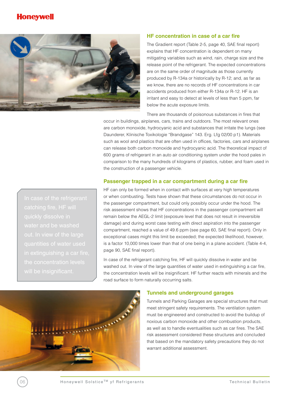### **Honevwe**



#### **HF concentration in case of a car fire**

The Gradient report (Table 2-5, page 40, SAE final report) explains that HF concentration is dependent on many mitigating variables such as wind, rain, charge size and the release point of the refrigerant. The expected concentrations are on the same order of magnitude as those currently produced by R-134a or historically by R-12; and, as far as we know, there are no records of HF concentrations in car accidents produced from either R-134a or R-12. HF is an irritant and easy to detect at levels of less than 5 ppm, far below the acute exposure limits.

There are thousands of poisonous substances in fires that

occur in buildings, airplanes, cars, trains and outdoors. The most relevant ones are carbon monoxide, hydrocyanic acid and substances that irritate the lungs (see Daunderer, Klinische Toxikologie "Brandgase" 143. Erg. Lfg 02/00 p1). Materials such as wool and plastics that are often used in offices, factories, cars and airplanes can release both carbon monoxide and hydrocyanic acid. The theoretical impact of 600 grams of refrigerant in an auto air conditioning system under the hood pales in comparison to the many hundreds of kilograms of plastics, rubber, and foam used in the construction of a passenger vehicle.

#### **Passenger trapped in a car compartment during a car fire**

HF can only be formed when in contact with surfaces at very high temperatures or when combusting. Tests have shown that these circumstances do not occur in the passenger compartment, but could only possibly occur under the hood. The risk assessment shows that HF concentrations in the passenger compartment will remain below the AEGL-2 limit (exposure level that does not result in irreversible damage) and during worst case testing with direct aspiration into the passenger compartment, reached a value of 49.6 ppm (see page 60, SAE final report). Only in exceptional cases might this limit be exceeded; the expected likelihood, however, is a factor 10,000 times lower than that of one being in a plane accident. (Table 4-4, page 90, SAE final report).

In case of the refrigerant catching fire, HF will quickly dissolve in water and be washed out. In view of the large quantities of water used in extinguishing a car fire, the concentration levels will be insignificant. HF further reacts with minerals and the road surface to form naturally occurring salts.



#### **Tunnels and underground garages**

Tunnels and Parking Garages are special structures that must meet stringent safety requirements. The ventilation system must be engineered and constructed to avoid the buildup of noxious carbon monoxide and other combustion products, as well as to handle eventualities such as car fires. The SAE risk assessment considered these structures and concluded that based on the mandatory safety precautions they do not warrant additional assessment.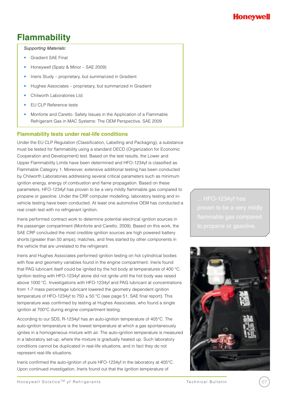### **Flammability**

*Supporting Materials:*

- **Gradient SAE Final**
- Honeywell (Spatz & Minor SAE 2009)
- Ineris Study proprietary, but summarized in Gradient
- Hughes Associates proprietary, but summarized in Gradient
- Chilworth Laboratories Ltd.
- • EU CLP Reference tests
- Monforte and Caretto. Safety Issues in the Application of a Flammable Refrigerant Gas in MAC Systems: The OEM Perspective. SAE 2009

#### **Flammability tests under real-life conditions**

Under the EU CLP Regulation (Classification, Labelling and Packaging), a substance must be tested for flammability using a standard OECD (Organization for Economic Cooperation and Development) test. Based on the test results, the Lower and Upper Flammability Limits have been determined and HFO-1234yf is classified as Flammable Category 1. Moreover, extensive additional testing has been conducted by Chilworth Laboratories addressing several critical parameters such as minimum ignition energy, energy of combustion and flame propagation. Based on these parameters, HFO-1234yf has proven to be a very mildly flammable gas compared to propane or gasoline. Under the CRP computer modelling, laboratory testing and invehicle testing have been conducted. At least one automotive OEM has conducted a real crash test with no refrigerant ignition.

Ineris performed contract work to determine potential electrical ignition sources in the passenger compartment (Monforte and Caretto, 2009). Based on this work, the SAE CRP concluded the most credible ignition sources are high powered battery shorts (greater than 50 amps), matches, and fires started by other components in the vehicle that are unrelated to the refrigerant.

Ineris and Hughes Associates performed ignition testing on hot cylindrical bodies with flow and geometry variables found in the engine compartment. Ineris found that PAG lubricant itself could be ignited by the hot body at temperatures of 400 °C. Ignition testing with HFO-1234yf alone did not ignite until the hot body was raised above 1000 °C. Investigations with HFO-1234yf and PAG lubricant at concentrations from 1-7 mass percentage lubricant lowered the geometry dependent ignition temperature of HFO-1234yf to 750  $\pm$  50 °C (see page 51, SAE final report). This temperature was confirmed by testing at Hughes Associates, who found a single ignition at 700°C during engine compartment testing.

According to our SDS, R-1234yf has an auto-ignition temperature of 405°C. The auto-ignition temperature is the lowest temperature at which a gas spontaneously ignites in a homogeneous mixture with air. The auto-ignition temperature is measured in a laboratory set-up, where the mixture is gradually heated up. Such laboratory conditions cannot be duplicated in real-life situations, and in fact they do not represent real-life situations.

Ineris confirmed the auto-ignition of pure HFO-1234yf in the laboratory at 405°C. Upon continued investigation, Ineris found out that the ignition temperature of

flammable gas compared



### Honeyw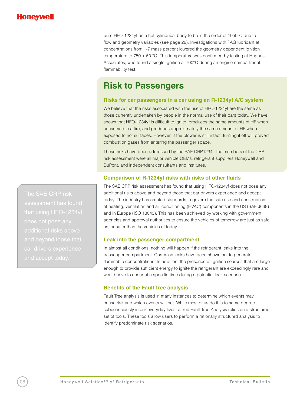pure HFO-1234yf on a hot cylindrical body to be in the order of 1050°C due to flow and geometry variables (see page 26). Investigations with PAG lubricant at concentrations from 1-7 mass percent lowered the geometry dependent ignition temperature to  $750 \pm 50$  °C. This temperature was confirmed by testing at Hughes Associates, who found a single ignition at 700°C during an engine compartment flammability test.

### **Risk to Passengers**

#### **Risks for car passengers in a car using an R-1234yf A/C system**

We believe that the risks associated with the use of HFO-1234yf are the same as those currently undertaken by people in the normal use of their cars today. We have shown that HFO-1234yf is difficult to ignite, produces the same amounts of HF when consumed in a fire, and produces approximately the same amount of HF when exposed to hot surfaces. However, if the blower is still intact, turning it off will prevent combustion gases from entering the passenger space.

These risks have been addressed by the SAE CRP1234. The members of the CRP risk assessment were all major vehicle OEMs, refrigerant suppliers Honeywell and DuPont, and independent consultants and institutes.

#### **Comparison of R-1234yf risks with risks of other fluids**

The SAE CRP risk assessment has found that using HFO-1234yf does not pose any additional risks above and beyond those that car drivers experience and accept today. The industry has created standards to govern the safe use and construction of heating, ventilation and air conditioning (HVAC) components in the US (SAE J639) and in Europe (ISO 13043). This has been achieved by working with government agencies and approval authorities to ensure the vehicles of tomorrow are just as safe as, or safer than the vehicles of today.

#### **Leak into the passenger compartment**

In almost all conditions, nothing will happen if the refrigerant leaks into the passenger compartment. Corrosion leaks have been shown not to generate flammable concentrations. In addition, the presence of ignition sources that are large enough to provide sufficient energy to ignite the refrigerant are exceedingly rare and would have to occur at a specific time during a potential leak scenario.

#### **Benefits of the Fault Tree analysis**

Fault Tree analysis is used in many instances to determine which events may cause risk and which events will not. While most of us do this to some degree subconsciously in our everyday lives, a true Fault Tree Analysis relies on a structured set of tools. These tools allow users to perform a rationally structured analysis to identify predominate risk scenarios.

additional risks above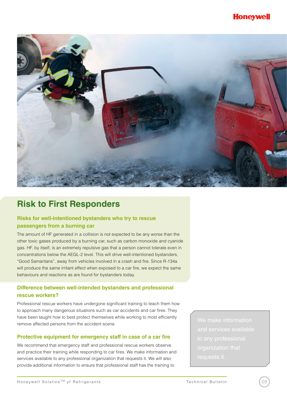

# **Risk to First Responders**

### **Risks for well-intentioned bystanders who try to rescue passengers from a burning car**

The amount of HF generated in a collision is not expected to be any worse than the other toxic gases produced by a burning car, such as carbon monoxide and cyanide gas. HF, by itself, is an extremely repulsive gas that a person cannot tolerate even in concentrations below the AEGL-2 level. This will drive well-intentioned bystanders, "Good Samaritans", away from vehicles involved in a crash and fire. Since R-134a will produce the same irritant effect when exposed to a car fire, we expect the same behaviours and reactions as are found for bystanders today.

#### **Difference between well-intended bystanders and professional rescue workers?**

Professional rescue workers have undergone significant training to teach them how to approach many dangerous situations such as car accidents and car fires. They have been taught how to best protect themselves while working to most efficiently remove affected persons from the accident scene.

#### **Protective equipment for emergency staff in case of a car fire**

We recommend that emergency staff and professional rescue workers observe and practice their training while responding to car fires. We make information and services available to any professional organization that requests it. We will also provide additional information to ensure that professional staff has the training to

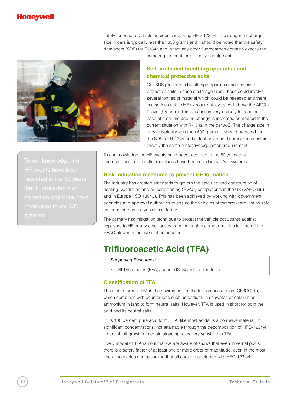### lonevw

safely respond to vehicle accidents involving HFO-1234yf. The refrigerant charge size in cars is typically less than 600 grams and it should be noted that the safety data sheet (SDS) for R-134a and in fact any other fluorocarbon contains exactly the



same requirement for protective equipment.

### **Self-contained breathing apparatus and chemical protective suits**

Our SDS prescribes breathing apparatus and chemical protective suits in case of storage fires. These could involve several tonnes of material which could be released and there is a serious risk to HF exposure at levels well above the AEGL-2 level (95 ppm). This situation is very unlikely to occur in case of a car fire and no change is indicated compared to the current situation with R-134a in the car A/C. The charge size in cars is typically less than 600 grams. It should be noted that the SDS for R-134a and in fact any other fluorocarbon contains exactly the same protective equipment requirement.

To our knowledge, no that fluorocarbons or

To our knowledge, no HF events have been recorded in the 50 years that fluorocarbons or chlorofluorocarbons have been used in car A/C systems.

#### **Risk mitigation measures to prevent HF formation**

The industry has created standards to govern the safe use and construction of heating, ventilation and air conditioning (HVAC) components in the US (SAE J639) and in Europe (ISO 13043). This has been achieved by working with government agencies and approval authorities to ensure the vehicles of tomorrow are just as safe as, or safer than the vehicles of today.

The primary risk mitigation technique to protect the vehicle occupants against exposure to HF or any other gases from the engine compartment is turning off the HVAC blower in the event of an accident.

### **Trifluoroacetic Acid (TFA)**

*Supporting Resources:*

All TFA studies (EPA, Japan, US, Scientific literature)

#### **Classification of TFA**

The stable form of TFA in the environment is the trifluoroacetate ion (CF3COO-), which combines with counter-ions such as sodium, in seawater, or calcium or ammonium in land to form neutral salts. However, TFA is used in short for both the acid and its neutral salts.

In its 100 percent pure acid form, TFA, like most acids, is a corrosive material. In significant concentrations, not attainable through the decomposition of HFO-1234yf, it can inhibit growth of certain algae species very sensitive to TFA.

Every model of TFA rainout that we are aware of shows that even in vernal pools, there is a safety factor of at least one or more order of magnitude, even in the most liberal scenarios and assuming that all cars are equipped with HFO-1234yf.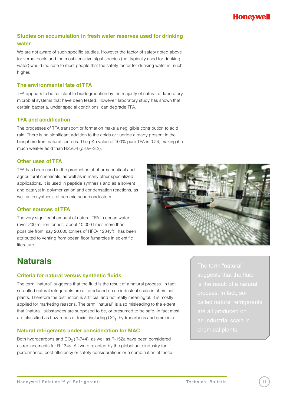### **Studies on accumulation in fresh water reserves used for drinking water**

We are not aware of such specific studies. However the factor of safety noted above for vernal pools and the most sensitive algal species (not typically used for drinking water) would indicate to most people that the safety factor for drinking water is much higher.

#### **The environmental fate of TFA**

TFA appears to be resistant to biodegradation by the majority of natural or laboratory microbial systems that have been tested. However, laboratory study has shown that certain bacteria, under special conditions, can degrade TFA.

#### **TFA and acidification**

The processes of TFA transport or formation make a negligible contribution to acid rain. There is no significant addition to the acids or fluoride already present in the biosphere from natural sources. The pKa value of 100% pure TFA is 0.24, making it a much weaker acid than H2SO4 (pKa=-3.2).

#### **Other uses of TFA**

TFA has been used in the production of pharmaceutical and agricultural chemicals, as well as in many other specialized applications. It is used in peptide synthesis and as a solvent and catalyst in polymerization and condensation reactions, as well as in synthesis of ceramic superconductors.

#### **Other sources of TFA**

The very significant amount of natural TFA in ocean water (over 200 million tonnes, about 10,000 times more than possible from, say 20,000 tonnes of HFO- 1234yf) , has been attributed to venting from ocean floor fumaroles in scientific literature.

# **Naturals**

#### **Criteria for natural versus synthetic fluids**

The term "natural" suggests that the fluid is the result of a natural process. In fact, so-called natural refrigerants are all produced on an industrial scale in chemical plants. Therefore the distinction is artificial and not really meaningful. It is mostly applied for marketing reasons. The term "natural" is also misleading to the extent that "natural" substances are supposed to be, or presumed to be safe. In fact most are classified as hazardous or toxic, including CO<sub>2</sub>, hydrocarbons and ammonia.

#### **Natural refrigerants under consideration for MAC**

Both hydrocarbons and  $CO<sub>2</sub>$  (R-744), as well as R-152a have been considered as replacements for R-134a. All were rejected by the global auto industry for performance, cost-efficiency or safety considerations or a combination of these.

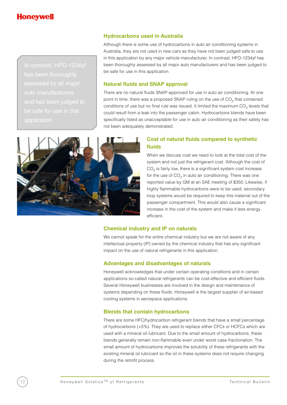

auto manufacturers

#### **Hydrocarbons used in Australia**

Although there is some use of hydrocarbons in auto air conditioning systems in Australia, they are not used in new cars as they have not been judged safe to use in this application by any major vehicle manufacturer. In contrast, HFO-1234yf has been thoroughly assessed by all major auto manufacturers and has been judged to be safe for use in this application.

#### **Natural fluids and SNAP approval**

There are no natural fluids SNAP-approved for use in auto air conditioning. At one point in time, there was a proposed SNAP ruling on the use of  $CO<sub>2</sub>$  that contained conditions of use but no final rule was issued. It limited the maximum  $CO<sub>2</sub>$  levels that could result from a leak into the passenger cabin. Hydrocarbons blends have been specifically listed as unacceptable for use in auto air conditioning as their safety has not been adequately demonstrated.



#### **Cost of natural fluids compared to synthetic fluids**

When we discuss cost we need to look at the total cost of the system and not just the refrigerant cost. Although the cost of  $CO<sub>2</sub>$  is fairly low, there is a significant system cost increase for the use of  $CO<sub>2</sub>$  in auto air conditioning. There was one reported value by GM at an SAE meeting of \$350. Likewise, if highly flammable hydrocarbons were to be used, secondary loop systems would be required to keep this material out of the passenger compartment. This would also cause a significant increase in the cost of the system and make it less energy efficient.

#### **Chemical industry and IP on naturals**

We cannot speak for the entire chemical industry but we are not aware of any intellectual property (IP) owned by the chemical industry that has any significant impact on the use of natural refrigerants in this application.

#### **Advantages and disadvantages of naturals**

Honeywell acknowledges that under certain operating conditions and in certain applications so-called natural refrigerants can be cost-effective and efficient fluids. Several Honeywell businesses are involved in the design and maintenance of systems depending on these fluids. Honeywell is the largest supplier of air-based cooling systems in aerospace applications.

#### **Blends that contain hydrocarbons**

There are some HFC/hydrocarbon refrigerant blends that have a small percentage of hydrocarbons (<5%). They are used to replace either CFCs or HCFCs which are used with a mineral oil lubricant. Due to the small amount of hydrocarbons, these blends generally remain non-flammable even under worst case fractionation. The small amount of hydrocarbons improves the solubility of these refrigerants with the existing mineral oil lubricant so the oil in these systems does not require changing during the retrofit process.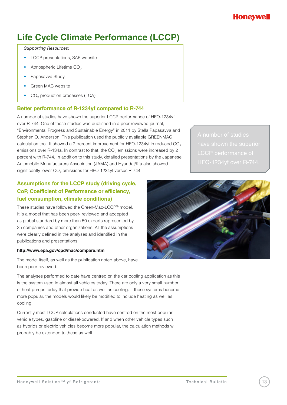# **Life Cycle Climate Performance (LCCP)**

#### *Supporting Resources:*

- LCCP presentations, SAE website
- Atmospheric Lifetime CO<sub>2</sub>
- Papasavva Study
- Green MAC website
- CO<sub>2</sub> production processes (LCA)

### **Better performance of R-1234yf compared to R-744**

A number of studies have shown the superior LCCP performance of HFO-1234yf over R-744. One of these studies was published in a peer reviewed journal, "Environmental Progress and Sustainable Energy" in 2011 by Stella Papasavva and Stephen O. Anderson. This publication used the publicly available GREENMAC calculation tool. It showed a 7 percent improvement for HFO-1234yf in reduced CO<sub>2</sub> emissions over R-134a. In contrast to that, the  $CO<sub>2</sub>$  emissions were increased by 2 percent with R-744. In addition to this study, detailed presentations by the Japanese Automobile Manufacturers Association (JAMA) and Hyundai/Kia also showed significantly lower  $CO<sub>2</sub>$  emissions for HFO-1234yf versus R-744.

### **Assumptions for the LCCP study (driving cycle, CoP, Coefficient of Performance or efficiency, fuel consumption, climate conditions)**

These studies have followed the Green-Mac-LCCP® model. It is a model that has been peer- reviewed and accepted as global standard by more than 50 experts represented by 25 companies and other organizations. All the assumptions were clearly defined in the analyses and identified in the publications and presentations:

#### **http://www.epa.gov/cpd/mac/compare.htm**

The model itself, as well as the publication noted above, have been peer-reviewed.

The analyses performed to date have centred on the car cooling application as this is the system used in almost all vehicles today. There are only a very small number of heat pumps today that provide heat as well as cooling. If these systems become more popular, the models would likely be modified to include heating as well as cooling.

Currently most LCCP calculations conducted have centred on the most popular vehicle types, gasoline or diesel-powered. If and when other vehicle types such as hybrids or electric vehicles become more popular, the calculation methods will probably be extended to these as well.



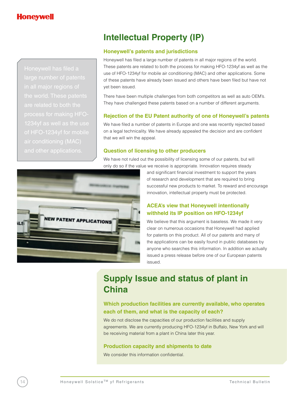

# **Intellectual Property (IP)**

#### **Honeywell's patents and jurisdictions**

Honeywell has filed a large number of patents in all major regions of the world. These patents are related to both the process for making HFO-1234yf as well as the use of HFO-1234yf for mobile air conditioning (MAC) and other applications. Some of these patents have already been issued and others have been filed but have not yet been issued.

There have been multiple challenges from both competitors as well as auto OEM's. They have challenged these patents based on a number of different arguments.

#### **Rejection of the EU Patent authority of one of Honeywell's patents**

We have filed a number of patents in Europe and one was recently rejected based on a legal technicality. We have already appealed the decision and are confident that we will win the appeal.

#### **Question of licensing to other producers**

We have not ruled out the possibility of licensing some of our patents, but will only do so if the value we receive is appropriate. Innovation requires steady



and significant financial investment to support the years of research and development that are required to bring successful new products to market. To reward and encourage innovation, intellectual property must be protected.

#### **ACEA's view that Honeywell intentionally withheld its IP position on HFO-1234yf**

We believe that this argument is baseless. We made it very clear on numerous occasions that Honeywell had applied for patents on this product. All of our patents and many of the applications can be easily found in public databases by anyone who searches this information. In addition we actually issued a press release before one of our European patents issued.

# **Supply Issue and status of plant in China**

#### **Which production facilities are currently available, who operates each of them, and what is the capacity of each?**

We do not disclose the capacities of our production facilities and supply agreements. We are currently producing HFO-1234yf in Buffalo, New York and will be receiving material from a plant in China later this year.

#### **Production capacity and shipments to date**

We consider this information confidential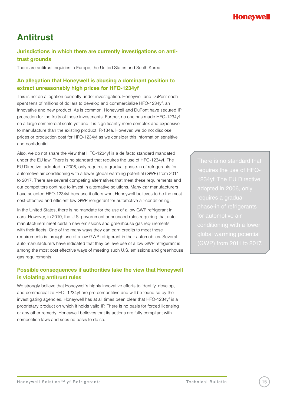# **Antitrust**

### **Jurisdictions in which there are currently investigations on antitrust grounds**

There are antitrust inquiries in Europe, the United States and South Korea.

### **An allegation that Honeywell is abusing a dominant position to extract unreasonably high prices for HFO-1234yf**

This is not an allegation currently under investigation. Honeywell and DuPont each spent tens of millions of dollars to develop and commercialize HFO-1234yf, an innovative and new product. As is common, Honeywell and DuPont have secured IP protection for the fruits of these investments. Further, no one has made HFO-1234yf on a large commercial scale yet and it is significantly more complex and expensive to manufacture than the existing product, R-134a. However, we do not disclose prices or production cost for HFO-1234yf as we consider this information sensitive and confidential.

Also, we do not share the view that HFO-1234yf is a de facto standard mandated under the EU law. There is no standard that requires the use of HFO-1234yf. The EU Directive, adopted in 2006, only requires a gradual phase-in of refrigerants for automotive air conditioning with a lower global warming potential (GWP) from 2011 to 2017. There are several competing alternatives that meet these requirements and our competitors continue to invest in alternative solutions. Many car manufacturers have selected HFO-1234yf because it offers what Honeywell believes to be the most cost-effective and efficient low GWP refrigerant for automotive air-conditioning.

In the United States, there is no mandate for the use of a low GWP refrigerant in cars. However, in 2010, the U.S. government announced rules requiring that auto manufacturers meet certain new emissions and greenhouse gas requirements with their fleets. One of the many ways they can earn credits to meet these requirements is through use of a low GWP refrigerant in their automobiles. Several auto manufacturers have indicated that they believe use of a low GWP refrigerant is among the most cost effective ways of meeting such U.S. emissions and greenhouse gas requirements.

### **Possible consequences if authorities take the view that Honeywell is violating antitrust rules**

We strongly believe that Honeywell's highly innovative efforts to identify, develop, and commercialize HFO- 1234yf are pro-competitive and will be found so by the investigating agencies. Honeywell has at all times been clear that HFO-1234yf is a proprietary product on which it holds valid IP. There is no basis for forced licensing or any other remedy. Honeywell believes that its actions are fully compliant with competition laws and sees no basis to do so.

There is no standard that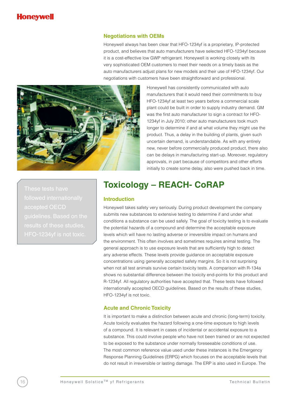#### **Negotiations with OEMs**

Honeywell always has been clear that HFO-1234yf is a proprietary, IP-protected product, and believes that auto manufacturers have selected HFO-1234yf because it is a cost-effective low GWP refrigerant. Honeywell is working closely with its very sophisticated OEM customers to meet their needs on a timely basis as the auto manufacturers adjust plans for new models and their use of HFO-1234yf. Our negotiations with customers have been straightforward and professional.



Honeywell has consistently communicated with auto manufacturers that it would need their commitments to buy HFO-1234yf at least two years before a commercial scale plant could be built in order to supply industry demand. GM was the first auto manufacturer to sign a contract for HFO-1234yf in July 2010; other auto manufacturers took much longer to determine if and at what volume they might use the product. Thus, a delay in the building of plants, given such uncertain demand, is understandable. As with any entirely new, never before commercially produced product, there also can be delays in manufacturing start-up. Moreover, regulatory approvals, in part because of competitors and other efforts initially to create some delay, also were pushed back in time.

results of these studies,

# **Toxicology – REACH- CoRAP**

#### **Introduction**

Honeywell takes safety very seriously. During product development the company submits new substances to extensive testing to determine if and under what conditions a substance can be used safely. The goal of toxicity testing is to evaluate the potential hazards of a compound and determine the acceptable exposure levels which will have no lasting adverse or irreversible impact on humans and the environment. This often involves and sometimes requires animal testing. The general approach is to use exposure levels that are sufficiently high to detect any adverse effects. These levels provide guidance on acceptable exposure concentrations using generally accepted safety margins. So it is not surprising when not all test animals survive certain toxicity tests. A comparison with R-134a shows no substantial difference between the toxicity end-points for this product and R-1234yf. All regulatory authorities have accepted that. These tests have followed internationally accepted OECD guidelines. Based on the results of these studies, HFO-1234yf is not toxic.

#### **Acute and Chronic Toxicity**

It is important to make a distinction between acute and chronic (long-term) toxicity. Acute toxicity evaluates the hazard following a one-time exposure to high levels of a compound. It is relevant in cases of incidental or accidental exposure to a substance. This could involve people who have not been trained or are not expected to be exposed to the substance under normally foreseeable conditions of use. The most common reference value used under these instances is the Emergency Response Planning Guidelines (ERPG) which focuses on the acceptable levels that do not result in irreversible or lasting damage. The ERP is also used in Europe. The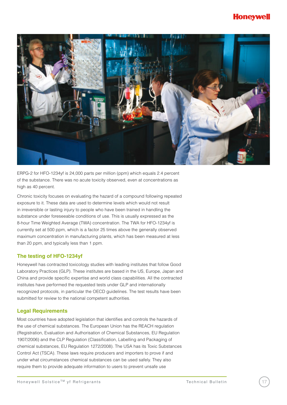### Honeywe



ERPG-2 for HFO-1234yf is 24,000 parts per million (ppm) which equals 2.4 percent of the substance. There was no acute toxicity observed, even at concentrations as high as 40 percent.

Chronic toxicity focuses on evaluating the hazard of a compound following repeated exposure to it. These data are used to determine levels which would not result in irreversible or lasting injury to people who have been trained in handling the substance under foreseeable conditions of use. This is usually expressed as the 8-hour Time Weighted Average (TWA) concentration. The TWA for HFO-1234yf is currently set at 500 ppm, which is a factor 25 times above the generally observed maximum concentration in manufacturing plants, which has been measured at less than 20 ppm, and typically less than 1 ppm.

#### **The testing of HFO-1234yf**

Honeywell has contracted toxicology studies with leading institutes that follow Good Laboratory Practices (GLP). These institutes are based in the US, Europe, Japan and China and provide specific expertise and world class capabilities. All the contracted institutes have performed the requested tests under GLP and internationally recognized protocols, in particular the OECD guidelines. The test results have been submitted for review to the national competent authorities.

#### **Legal Requirements**

Most countries have adopted legislation that identifies and controls the hazards of the use of chemical substances. The European Union has the REACH regulation (Registration, Evaluation and Authorisation of Chemical Substances, EU Regulation 1907/2006) and the CLP Regulation (Classification, Labelling and Packaging of chemical substances, EU Regulation 1272/2008). The USA has its Toxic Substances Control Act (TSCA). These laws require producers and importers to prove if and under what circumstances chemical substances can be used safely. They also require them to provide adequate information to users to prevent unsafe use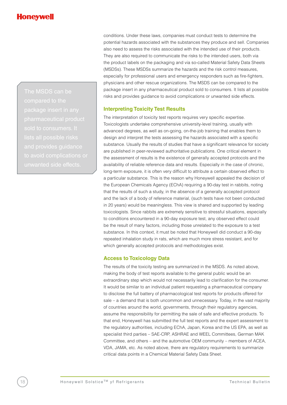conditions. Under these laws, companies must conduct tests to determine the potential hazards associated with the substances they produce and sell. Companies also need to assess the risks associated with the intended use of their products. They are also required to communicate the risks to the intended users, both via the product labels on the packaging and via so-called Material Safety Data Sheets (MSDSs). These MSDSs summarize the hazards and the risk control measures, especially for professional users and emergency responders such as fire-fighters, physicians and other rescue organizations. The MSDS can be compared to the package insert in any pharmaceutical product sold to consumers. It lists all possible risks and provides guidance to avoid complications or unwanted side effects.

#### **Interpreting Toxicity Test Results**

The interpretation of toxicity test reports requires very specific expertise. Toxicologists undertake comprehensive university-level training, usually with advanced degrees, as well as on-going, on-the-job training that enables them to design and interpret the tests assessing the hazards associated with a specific substance. Usually the results of studies that have a significant relevance for society are published in peer-reviewed authoritative publications. One critical element in the assessment of results is the existence of generally accepted protocols and the availability of reliable reference data and results. Especially in the case of chronic, long-term exposure, it is often very difficult to attribute a certain observed effect to a particular substance. This is the reason why Honeywell appealed the decision of the European Chemicals Agency (EChA) requiring a 90-day test in rabbits, noting that the results of such a study, in the absence of a generally accepted protocol and the lack of a body of reference material, (such tests have not been conducted in 20 years) would be meaningless. This view is shared and supported by leading toxicologists. Since rabbits are extremely sensitive to stressful situations, especially to conditions encountered in a 90-day exposure test, any observed effect could be the result of many factors, including those unrelated to the exposure to a test substance. In this context, it must be noted that Honeywell did conduct a 90-day repeated inhalation study in rats, which are much more stress resistant, and for which generally accepted protocols and methodologies exist.

#### **Access to Toxicology Data**

The results of the toxicity testing are summarized in the MSDS. As noted above, making the body of test reports available to the general public would be an extraordinary step which would not necessarily lead to clarification for the consumer. It would be similar to an individual patient requesting a pharmaceutical company to disclose the full battery of pharmacological test reports for products offered for sale – a demand that is both uncommon and unnecessary. Today, in the vast majority of countries around the world, governments, through their regulatory agencies, assume the responsibility for permitting the sale of safe and effective products. To that end, Honeywell has submitted the full test reports and the expert assessment to the regulatory authorities, including EChA, Japan, Korea and the US EPA, as well as specialist third parties – SAE-CRP, ASHRAE and WEEL Committees, German MAK Committee, and others – and the automotive OEM community – members of ACEA, VDA, JAMA, etc. As noted above, there are regulatory requirements to summarize critical data points in a Chemical Material Safety Data Sheet.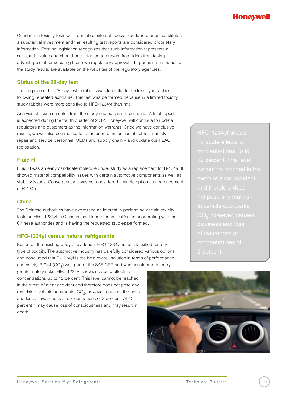### Honeyv

Conducting toxicity tests with reputable external specialized laboratories constitutes a substantial investment and the resulting test reports are considered proprietary information. Existing legislation recognizes that such information represents a substantial value and should be protected to prevent free-riders from taking advantage of it for securing their own regulatory approvals. In general, summaries of the study results are available on the websites of the regulatory agencies.

#### **Status of the 28-day test**

The purpose of the 28-day test in rabbits was to evaluate the toxicity in rabbits following repeated exposure. This test was performed because in a limited toxicity study rabbits were more sensitive to HFO-1234yf than rats.

Analysis of tissue samples from the study subjects is still on-going. A final report is expected during the fourth quarter of 2012. Honeywell will continue to update regulators and customers as the information warrants. Once we have conclusive results, we will also communicate to the user communities affected – namely repair and service personnel, OEMs and supply chain – and update our REACH registration.

#### **Fluid H**

Fluid H was an early candidate molecule under study as a replacement for R-134a. It showed material compatibility issues with certain automotive components as well as stability issues. Consequently it was not considered a viable option as a replacement of R-134a.

#### **China**

The Chinese authorities have expressed an interest in performing certain toxicity tests on HFO-1234yf in China in local laboratories. DuPont is cooperating with the Chinese authorities and is having the requested studies performed.

#### **HFO-1234yf versus natural refrigerants**

Based on the existing body of evidence, HFO-1234yf is not classified for any type of toxicity. The automotive industry has carefully considered various options and concluded that R-1234yf is the best overall solution in terms of performance and safety. R-744 ( $CO<sub>2</sub>$ ) was part of the SAE CRP and was considered to carry

greater safety risks. HFO-1234yf shows no acute effects at concentrations up to 12 percent. This level cannot be reached in the event of a car accident and therefore does not pose any real risk to vehicle occupants.  $CO<sub>2</sub>$ , however, causes dizziness and loss of awareness at concentrations of 2 percent. At 10 percent it may cause loss of consciousness and may result in death.

of awareness at